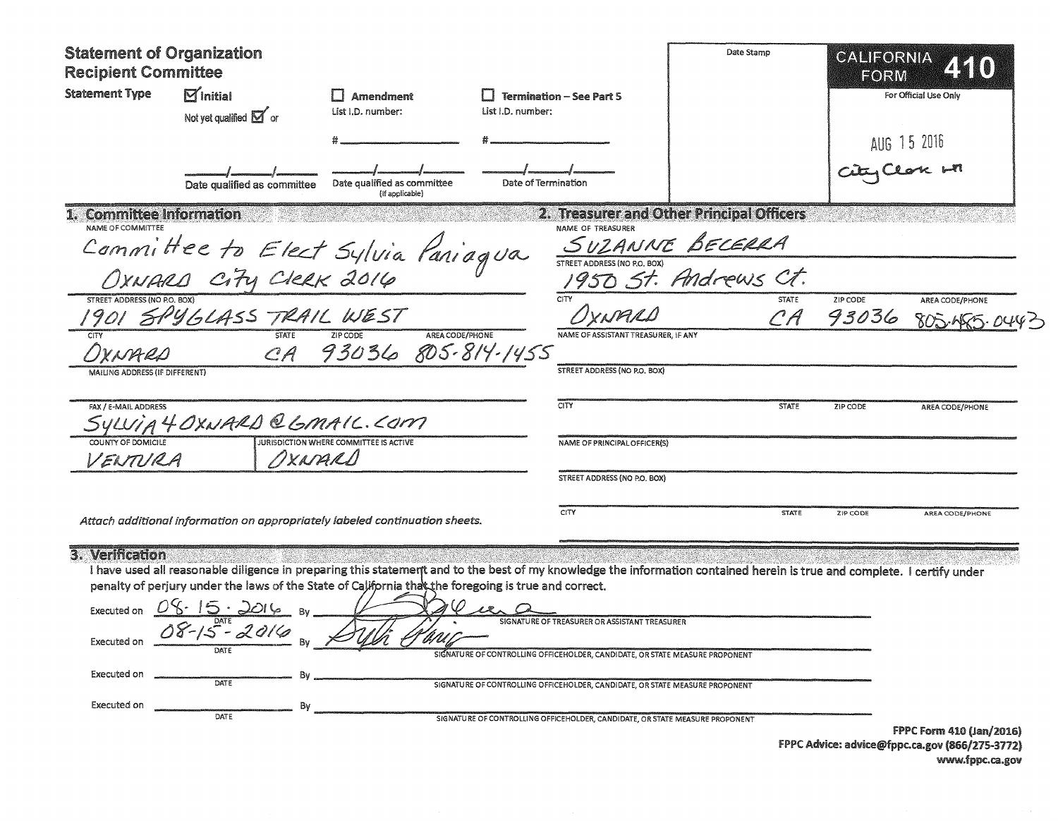| <b>Statement of Organization</b><br><b>Recipient Committee</b> |                                                                                                                                                                                                                                                                                                                                                                          |                                                              |                     | Date Stamp                                                                                                                                                                                                                                                                                    |                                           | CALIFORNIA<br>FORM        |                                               |
|----------------------------------------------------------------|--------------------------------------------------------------------------------------------------------------------------------------------------------------------------------------------------------------------------------------------------------------------------------------------------------------------------------------------------------------------------|--------------------------------------------------------------|---------------------|-----------------------------------------------------------------------------------------------------------------------------------------------------------------------------------------------------------------------------------------------------------------------------------------------|-------------------------------------------|---------------------------|-----------------------------------------------|
| <b>Statement Type</b>                                          | $\boxdot$ initial<br>Not yet qualified $\boxed{\mathbf{M}}$ or                                                                                                                                                                                                                                                                                                           | <b>I</b> Amendment<br>List I.D. number:<br>List I.D. number: |                     | <b>Termination - See Part 5</b>                                                                                                                                                                                                                                                               |                                           |                           | For Official Use Only                         |
|                                                                |                                                                                                                                                                                                                                                                                                                                                                          |                                                              |                     |                                                                                                                                                                                                                                                                                               |                                           |                           |                                               |
|                                                                | Date qualified as committee                                                                                                                                                                                                                                                                                                                                              | Date qualified as committee<br>(If applicable)               | Date of Termination |                                                                                                                                                                                                                                                                                               |                                           | $\frac{1}{2}$ AUG 15 2016 |                                               |
| 1. Committee Information<br>NAME OF COMMITTEE                  |                                                                                                                                                                                                                                                                                                                                                                          |                                                              |                     | NAME OF TREASURER                                                                                                                                                                                                                                                                             | 2. Treasurer and Other Principal Officers |                           |                                               |
|                                                                |                                                                                                                                                                                                                                                                                                                                                                          |                                                              |                     |                                                                                                                                                                                                                                                                                               |                                           |                           |                                               |
|                                                                | Committee to Elect Sylvia Paniagua                                                                                                                                                                                                                                                                                                                                       |                                                              |                     |                                                                                                                                                                                                                                                                                               | SUZANNE BECERRA                           |                           |                                               |
| STREET ADDRESS (NO P.O. BOX)                                   | 1901 SPYGLASS TRAIL WEST                                                                                                                                                                                                                                                                                                                                                 |                                                              |                     | CITY                                                                                                                                                                                                                                                                                          | CA                                        | ZIP CODE<br>93036         | AREA CODE/PHONE<br>805.455.0                  |
|                                                                |                                                                                                                                                                                                                                                                                                                                                                          | CA 93036 805-814-1455                                        | AREA CODE/PHONE     | NAME OF ASSISTANT TREASURER. IF ANY                                                                                                                                                                                                                                                           |                                           |                           |                                               |
| MAILING ADDRESS (IF DIFFERENT)                                 |                                                                                                                                                                                                                                                                                                                                                                          |                                                              |                     | STREET ADDRESS (NO P.O. BOX)                                                                                                                                                                                                                                                                  |                                           |                           |                                               |
| FAX / E-MAIL ADDRESS                                           | SYLVIA 4 OXNARD @ GMAIC. COM                                                                                                                                                                                                                                                                                                                                             |                                                              |                     | CITY                                                                                                                                                                                                                                                                                          | <b>STATE</b>                              | ZIP CODE                  | AREA CODE/PHONE                               |
| COUNTY OF DOMICILE                                             |                                                                                                                                                                                                                                                                                                                                                                          | <b>JURISDICTION WHERE COMMITTEE IS ACTIVE</b>                |                     | NAME OF PRINCIPAL OFFICER(S)                                                                                                                                                                                                                                                                  |                                           |                           |                                               |
| VENTURA                                                        |                                                                                                                                                                                                                                                                                                                                                                          | NXNARD                                                       |                     | STREET ADDRESS (NO P.O. BOX)                                                                                                                                                                                                                                                                  |                                           |                           |                                               |
|                                                                | Attach additional information on appropriately labeled continuation sheets.                                                                                                                                                                                                                                                                                              |                                                              |                     | CITY                                                                                                                                                                                                                                                                                          | <b>STATE</b>                              | ZIP CODE                  | AREA CODE/PHONE                               |
| 3. Verification<br>Executed on<br>Executed on<br>Executed on   | I have used all reasonable diligence in preparing this statement and to the best of my knowledge the information contained herein is true and complete. I certify under<br>penalty of perjury under the laws of the State of California that the foregoing is true and correct.<br>Executed on $OS \cdot 15 \cdot 2016$ By<br>08-15 - 2016<br>DATE<br>DATE<br>Bv<br>DATE | vrv                                                          |                     | SIGNATURE OF TREASURER OR ASSISTANT TREASURER<br>SIGNATURE OF CONTROLLING OFFICEHOLDER, CANDIDATE, OR STATE MEASURE PROPONENT<br>SIGNATURE OF CONTROLLING OFFICEHOLDER, CANDIDATE, OR STATE MEASURE PROPONENT<br>SIGNATURE OF CONTROLLING OFFICEHOLDER, CANDIDATE, OR STATE MEASURE PROPONENT |                                           |                           | <b>FPPC Form 410 (Jan/2016)</b>               |
|                                                                |                                                                                                                                                                                                                                                                                                                                                                          |                                                              |                     |                                                                                                                                                                                                                                                                                               |                                           |                           | FPPC Advice: advicement ca any 1866/275-2772) |

**FPPC Advice: advice@rppc.ca.gov (866/275-3772)** www.fppc.ca.gov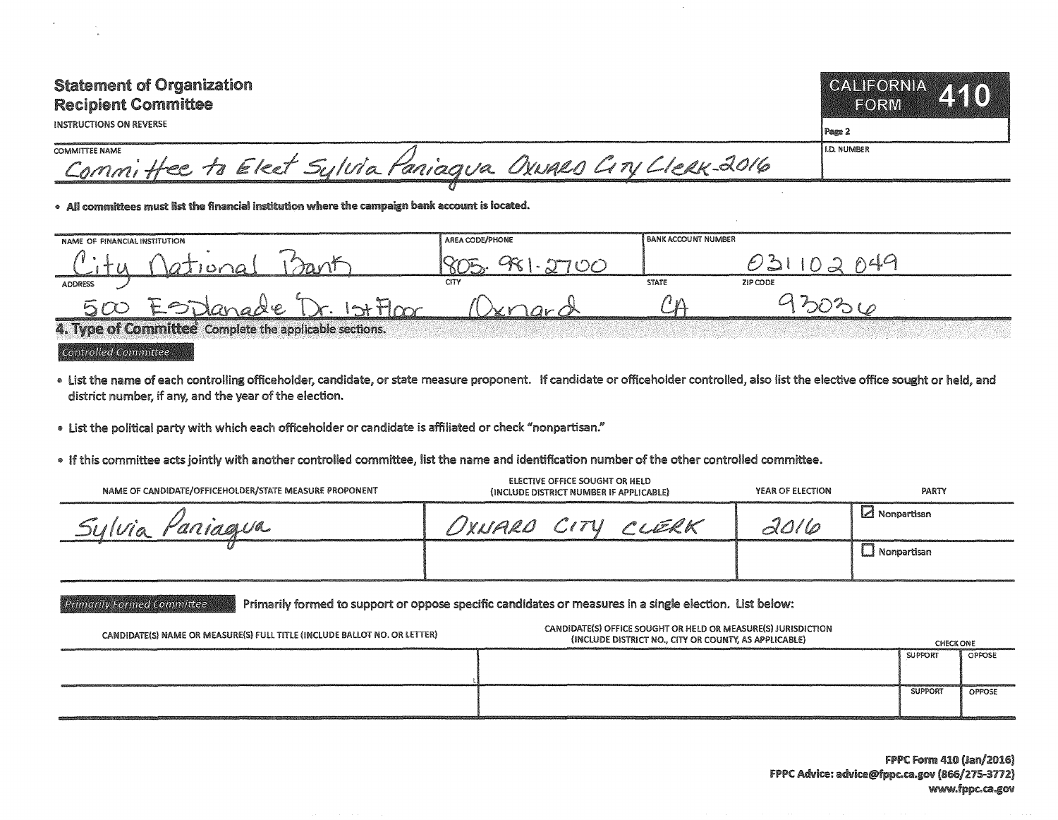| <b>Statement of Organization</b><br><b>Recipient Committee</b><br><b>INSTRUCTIONS ON REVERSE</b> | CALIFORNIA A40<br><b>EORM</b><br>l Page 2 |
|--------------------------------------------------------------------------------------------------|-------------------------------------------|
| COMMITTEE NAME<br>Committee to Elect Sylvia Paniagua Oxwald City Lleak-2016                      | I I.D. NUMBER                             |
|                                                                                                  |                                           |

. All committees must list the financial institution where the campaign bank account is located.

| NAME OF FINANCIAL INSTITUTION                          |                            | AREA CODE/PHONE | <b>BANK ACCOUNT NUMBER</b> |          |
|--------------------------------------------------------|----------------------------|-----------------|----------------------------|----------|
|                                                        |                            |                 |                            |          |
| <b>ADDRESS</b>                                         |                            | <b>CITY</b>     | <b>STATE</b>               | ZIP CODE |
| 500                                                    | Dr. 1st Floor<br>Esplanade |                 |                            |          |
| 4. Type of Committee Complete the applicable sections. |                            |                 |                            |          |

## Controlled Committee

- . List the name of each controlling officeholder, candidate, or state measure proponent. If candidate or officeholder controlled, also list the elective office sought or held, and district number, if any, and the year of the election.
- \* list the political party with which each officeholder or candidate is affiliated or check "nonpartisan."
- \* If this committee acts jointly with another controlled committee, list the name and identification number of the other controlled committee.

| NAME OF CANDIDATE/OFFICEHOLDER/STATE MEASURE PROPONENT | ELECTIVE OFFICE SOUGHT OR HELD<br>(INCLUDE DISTRICT NUMBER IF APPLICABLE) | YEAR OF ELECTION | PARTY          |
|--------------------------------------------------------|---------------------------------------------------------------------------|------------------|----------------|
| Paniagua                                               | UXNARD CITY CLERK                                                         | 70/6             | i⊿ Nonpartisan |
|                                                        |                                                                           |                  |                |

Primarily Formed Committee **1944** Primarily formed to support or oppose specific candidates or measures in a single election. List below:

| CANDIDATE(S) NAME OR MEASURE(S) FULL TITLE (INCLUDE BALLOT NO. OR LETTER) | CANDIDATE(S) OFFICE SOUGHT OR HELD OR MEASURE(S) JURISDICTION<br>(INCLUDE DISTRICT NO., CITY OR COUNTY, AS APPLICABLE) | <b>CHECK ONE</b> |        |
|---------------------------------------------------------------------------|------------------------------------------------------------------------------------------------------------------------|------------------|--------|
|                                                                           |                                                                                                                        | <b>SUPPORT</b>   | OPPOSE |
|                                                                           |                                                                                                                        | <b>SUPPORT</b>   | OPPOSE |

FPPC Form 410 (Jan/2016) FPPC Advice: advice@fppc.ca.gov (866/275-3712) www.fppc.ca.gov